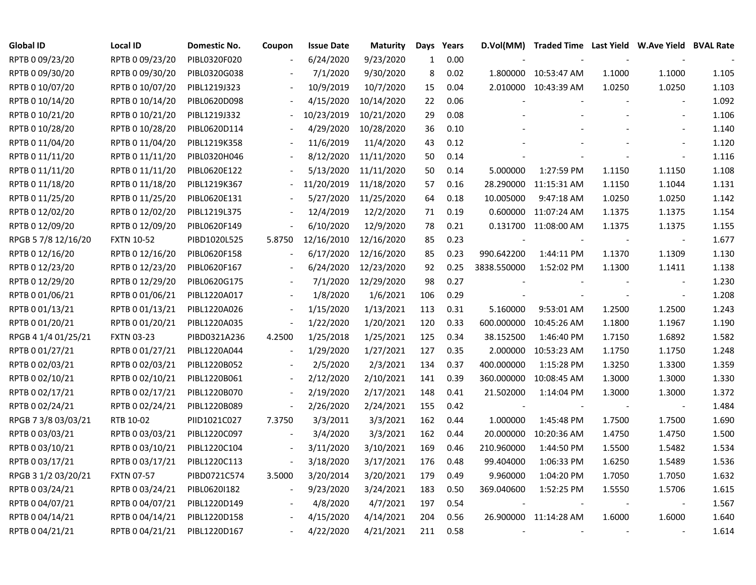| <b>Global ID</b>    | <b>Local ID</b>   | Domestic No. | Coupon                   | <b>Issue Date</b> | <b>Maturity</b> | Days         | Years | D.Vol(MM)   | Traded Time Last Yield W.Ave Yield BVAL Rate |        |                          |       |
|---------------------|-------------------|--------------|--------------------------|-------------------|-----------------|--------------|-------|-------------|----------------------------------------------|--------|--------------------------|-------|
| RPTB 0 09/23/20     | RPTB 0 09/23/20   | PIBL0320F020 |                          | 6/24/2020         | 9/23/2020       | $\mathbf{1}$ | 0.00  |             |                                              |        |                          |       |
| RPTB 0 09/30/20     | RPTB 0 09/30/20   | PIBL0320G038 |                          | 7/1/2020          | 9/30/2020       | 8            | 0.02  | 1.800000    | 10:53:47 AM                                  | 1.1000 | 1.1000                   | 1.105 |
| RPTB 0 10/07/20     | RPTB 0 10/07/20   | PIBL1219J323 |                          | 10/9/2019         | 10/7/2020       | 15           | 0.04  |             | 2.010000 10:43:39 AM                         | 1.0250 | 1.0250                   | 1.103 |
| RPTB 0 10/14/20     | RPTB 0 10/14/20   | PIBL0620D098 |                          | 4/15/2020         | 10/14/2020      | 22           | 0.06  |             |                                              |        | $\blacksquare$           | 1.092 |
| RPTB 0 10/21/20     | RPTB 0 10/21/20   | PIBL1219J332 |                          | 10/23/2019        | 10/21/2020      | 29           | 0.08  |             |                                              |        | $\blacksquare$           | 1.106 |
| RPTB 0 10/28/20     | RPTB 0 10/28/20   | PIBL0620D114 |                          | 4/29/2020         | 10/28/2020      | 36           | 0.10  |             |                                              |        |                          | 1.140 |
| RPTB 0 11/04/20     | RPTB 0 11/04/20   | PIBL1219K358 |                          | 11/6/2019         | 11/4/2020       | 43           | 0.12  |             |                                              |        |                          | 1.120 |
| RPTB 0 11/11/20     | RPTB 0 11/11/20   | PIBL0320H046 |                          | 8/12/2020         | 11/11/2020      | 50           | 0.14  |             |                                              |        |                          | 1.116 |
| RPTB 0 11/11/20     | RPTB 0 11/11/20   | PIBL0620E122 |                          | 5/13/2020         | 11/11/2020      | 50           | 0.14  | 5.000000    | 1:27:59 PM                                   | 1.1150 | 1.1150                   | 1.108 |
| RPTB 0 11/18/20     | RPTB 0 11/18/20   | PIBL1219K367 |                          | 11/20/2019        | 11/18/2020      | 57           | 0.16  | 28.290000   | 11:15:31 AM                                  | 1.1150 | 1.1044                   | 1.131 |
| RPTB 0 11/25/20     | RPTB 0 11/25/20   | PIBL0620E131 |                          | 5/27/2020         | 11/25/2020      | 64           | 0.18  | 10.005000   | 9:47:18 AM                                   | 1.0250 | 1.0250                   | 1.142 |
| RPTB 0 12/02/20     | RPTB 0 12/02/20   | PIBL1219L375 |                          | 12/4/2019         | 12/2/2020       | 71           | 0.19  | 0.600000    | 11:07:24 AM                                  | 1.1375 | 1.1375                   | 1.154 |
| RPTB 0 12/09/20     | RPTB 0 12/09/20   | PIBL0620F149 |                          | 6/10/2020         | 12/9/2020       | 78           | 0.21  | 0.131700    | 11:08:00 AM                                  | 1.1375 | 1.1375                   | 1.155 |
| RPGB 5 7/8 12/16/20 | <b>FXTN 10-52</b> | PIBD1020L525 | 5.8750                   | 12/16/2010        | 12/16/2020      | 85           | 0.23  |             |                                              | $\sim$ | $\overline{\phantom{a}}$ | 1.677 |
| RPTB 0 12/16/20     | RPTB 0 12/16/20   | PIBL0620F158 |                          | 6/17/2020         | 12/16/2020      | 85           | 0.23  | 990.642200  | 1:44:11 PM                                   | 1.1370 | 1.1309                   | 1.130 |
| RPTB 0 12/23/20     | RPTB 0 12/23/20   | PIBL0620F167 |                          | 6/24/2020         | 12/23/2020      | 92           | 0.25  | 3838.550000 | 1:52:02 PM                                   | 1.1300 | 1.1411                   | 1.138 |
| RPTB 0 12/29/20     | RPTB 0 12/29/20   | PIBL0620G175 |                          | 7/1/2020          | 12/29/2020      | 98           | 0.27  |             |                                              |        |                          | 1.230 |
| RPTB 0 01/06/21     | RPTB 0 01/06/21   | PIBL1220A017 | $\overline{\phantom{a}}$ | 1/8/2020          | 1/6/2021        | 106          | 0.29  |             |                                              |        | $\overline{\phantom{a}}$ | 1.208 |
| RPTB 0 01/13/21     | RPTB 0 01/13/21   | PIBL1220A026 | $\overline{\phantom{a}}$ | 1/15/2020         | 1/13/2021       | 113          | 0.31  | 5.160000    | 9:53:01 AM                                   | 1.2500 | 1.2500                   | 1.243 |
| RPTB 0 01/20/21     | RPTB 0 01/20/21   | PIBL1220A035 | $\overline{\phantom{a}}$ | 1/22/2020         | 1/20/2021       | 120          | 0.33  | 600.000000  | 10:45:26 AM                                  | 1.1800 | 1.1967                   | 1.190 |
| RPGB 4 1/4 01/25/21 | <b>FXTN 03-23</b> | PIBD0321A236 | 4.2500                   | 1/25/2018         | 1/25/2021       | 125          | 0.34  | 38.152500   | 1:46:40 PM                                   | 1.7150 | 1.6892                   | 1.582 |
| RPTB 0 01/27/21     | RPTB 0 01/27/21   | PIBL1220A044 |                          | 1/29/2020         | 1/27/2021       | 127          | 0.35  | 2.000000    | 10:53:23 AM                                  | 1.1750 | 1.1750                   | 1.248 |
| RPTB 0 02/03/21     | RPTB 0 02/03/21   | PIBL1220B052 |                          | 2/5/2020          | 2/3/2021        | 134          | 0.37  | 400.000000  | 1:15:28 PM                                   | 1.3250 | 1.3300                   | 1.359 |
| RPTB 0 02/10/21     | RPTB 0 02/10/21   | PIBL1220B061 |                          | 2/12/2020         | 2/10/2021       | 141          | 0.39  | 360.000000  | 10:08:45 AM                                  | 1.3000 | 1.3000                   | 1.330 |
| RPTB 0 02/17/21     | RPTB 0 02/17/21   | PIBL1220B070 | $\blacksquare$           | 2/19/2020         | 2/17/2021       | 148          | 0.41  | 21.502000   | 1:14:04 PM                                   | 1.3000 | 1.3000                   | 1.372 |
| RPTB 0 02/24/21     | RPTB 0 02/24/21   | PIBL1220B089 | $\overline{\phantom{a}}$ | 2/26/2020         | 2/24/2021       | 155          | 0.42  |             |                                              |        | $\overline{\phantom{a}}$ | 1.484 |
| RPGB 7 3/8 03/03/21 | RTB 10-02         | PIID1021C027 | 7.3750                   | 3/3/2011          | 3/3/2021        | 162          | 0.44  | 1.000000    | 1:45:48 PM                                   | 1.7500 | 1.7500                   | 1.690 |
| RPTB 0 03/03/21     | RPTB 0 03/03/21   | PIBL1220C097 |                          | 3/4/2020          | 3/3/2021        | 162          | 0.44  | 20.000000   | 10:20:36 AM                                  | 1.4750 | 1.4750                   | 1.500 |
| RPTB 0 03/10/21     | RPTB 0 03/10/21   | PIBL1220C104 |                          | 3/11/2020         | 3/10/2021       | 169          | 0.46  | 210.960000  | 1:44:50 PM                                   | 1.5500 | 1.5482                   | 1.534 |
| RPTB 0 03/17/21     | RPTB 0 03/17/21   | PIBL1220C113 | $\overline{\phantom{a}}$ | 3/18/2020         | 3/17/2021       | 176          | 0.48  | 99.404000   | 1:06:33 PM                                   | 1.6250 | 1.5489                   | 1.536 |
| RPGB 3 1/2 03/20/21 | <b>FXTN 07-57</b> | PIBD0721C574 | 3.5000                   | 3/20/2014         | 3/20/2021       | 179          | 0.49  | 9.960000    | 1:04:20 PM                                   | 1.7050 | 1.7050                   | 1.632 |
| RPTB 0 03/24/21     | RPTB 0 03/24/21   | PIBL0620I182 | $\overline{\phantom{a}}$ | 9/23/2020         | 3/24/2021       | 183          | 0.50  | 369.040600  | 1:52:25 PM                                   | 1.5550 | 1.5706                   | 1.615 |
| RPTB 0 04/07/21     | RPTB 0 04/07/21   | PIBL1220D149 |                          | 4/8/2020          | 4/7/2021        | 197          | 0.54  |             |                                              |        | $\overline{\phantom{a}}$ | 1.567 |
| RPTB 0 04/14/21     | RPTB 0 04/14/21   | PIBL1220D158 |                          | 4/15/2020         | 4/14/2021       | 204          | 0.56  |             | 26.900000 11:14:28 AM                        | 1.6000 | 1.6000                   | 1.640 |
| RPTB 0 04/21/21     | RPTB 0 04/21/21   | PIBL1220D167 |                          | 4/22/2020         | 4/21/2021       | 211          | 0.58  |             |                                              |        |                          | 1.614 |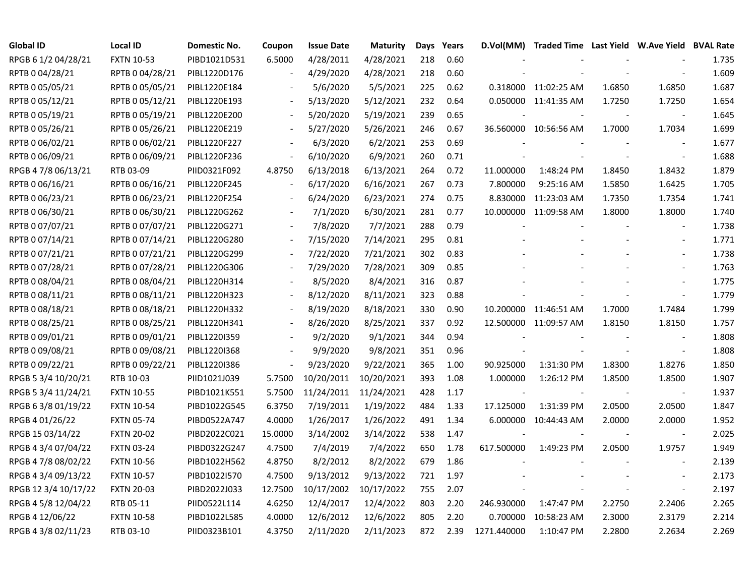| <b>Global ID</b>     | <b>Local ID</b>   | Domestic No. | Coupon                   | <b>Issue Date</b>     | Maturity   | Days | Years | D.Vol(MM)                | Traded Time Last Yield W.Ave Yield BVAL Rate |                          |                          |       |
|----------------------|-------------------|--------------|--------------------------|-----------------------|------------|------|-------|--------------------------|----------------------------------------------|--------------------------|--------------------------|-------|
| RPGB 6 1/2 04/28/21  | <b>FXTN 10-53</b> | PIBD1021D531 | 6.5000                   | 4/28/2011             | 4/28/2021  | 218  | 0.60  |                          |                                              |                          |                          | 1.735 |
| RPTB 0 04/28/21      | RPTB 0 04/28/21   | PIBL1220D176 |                          | 4/29/2020             | 4/28/2021  | 218  | 0.60  |                          |                                              |                          |                          | 1.609 |
| RPTB 0 05/05/21      | RPTB 0 05/05/21   | PIBL1220E184 |                          | 5/6/2020              | 5/5/2021   | 225  | 0.62  |                          | 0.318000 11:02:25 AM                         | 1.6850                   | 1.6850                   | 1.687 |
| RPTB 0 05/12/21      | RPTB 0 05/12/21   | PIBL1220E193 |                          | 5/13/2020             | 5/12/2021  | 232  | 0.64  |                          | 0.050000 11:41:35 AM                         | 1.7250                   | 1.7250                   | 1.654 |
| RPTB 0 05/19/21      | RPTB 0 05/19/21   | PIBL1220E200 | $\blacksquare$           | 5/20/2020             | 5/19/2021  | 239  | 0.65  |                          |                                              |                          | $\overline{\phantom{a}}$ | 1.645 |
| RPTB 0 05/26/21      | RPTB 0 05/26/21   | PIBL1220E219 | $\blacksquare$           | 5/27/2020             | 5/26/2021  | 246  | 0.67  |                          | 36.560000 10:56:56 AM                        | 1.7000                   | 1.7034                   | 1.699 |
| RPTB 0 06/02/21      | RPTB 0 06/02/21   | PIBL1220F227 | $\overline{\phantom{a}}$ | 6/3/2020              | 6/2/2021   | 253  | 0.69  |                          |                                              |                          | $\overline{\phantom{a}}$ | 1.677 |
| RPTB 0 06/09/21      | RPTB 0 06/09/21   | PIBL1220F236 | $\bar{\phantom{a}}$      | 6/10/2020             | 6/9/2021   | 260  | 0.71  |                          |                                              |                          | $\sim$                   | 1.688 |
| RPGB 4 7/8 06/13/21  | RTB 03-09         | PIID0321F092 | 4.8750                   | 6/13/2018             | 6/13/2021  | 264  | 0.72  | 11.000000                | 1:48:24 PM                                   | 1.8450                   | 1.8432                   | 1.879 |
| RPTB 0 06/16/21      | RPTB 0 06/16/21   | PIBL1220F245 |                          | 6/17/2020             | 6/16/2021  | 267  | 0.73  | 7.800000                 | 9:25:16 AM                                   | 1.5850                   | 1.6425                   | 1.705 |
| RPTB 0 06/23/21      | RPTB 0 06/23/21   | PIBL1220F254 |                          | 6/24/2020             | 6/23/2021  | 274  | 0.75  |                          | 8.830000 11:23:03 AM                         | 1.7350                   | 1.7354                   | 1.741 |
| RPTB 0 06/30/21      | RPTB 0 06/30/21   | PIBL1220G262 |                          | 7/1/2020              | 6/30/2021  | 281  | 0.77  |                          | 10.000000 11:09:58 AM                        | 1.8000                   | 1.8000                   | 1.740 |
| RPTB 0 07/07/21      | RPTB 0 07/07/21   | PIBL1220G271 |                          | 7/8/2020              | 7/7/2021   | 288  | 0.79  |                          |                                              |                          | $\sim$                   | 1.738 |
| RPTB 0 07/14/21      | RPTB 0 07/14/21   | PIBL1220G280 |                          | 7/15/2020             | 7/14/2021  | 295  | 0.81  |                          |                                              |                          | $\blacksquare$           | 1.771 |
| RPTB 0 07/21/21      | RPTB 0 07/21/21   | PIBL1220G299 |                          | 7/22/2020             | 7/21/2021  | 302  | 0.83  |                          |                                              |                          |                          | 1.738 |
| RPTB 0 07/28/21      | RPTB 0 07/28/21   | PIBL1220G306 |                          | 7/29/2020             | 7/28/2021  | 309  | 0.85  |                          |                                              |                          |                          | 1.763 |
| RPTB 0 08/04/21      | RPTB 0 08/04/21   | PIBL1220H314 |                          | 8/5/2020              | 8/4/2021   | 316  | 0.87  |                          |                                              |                          |                          | 1.775 |
| RPTB 0 08/11/21      | RPTB 0 08/11/21   | PIBL1220H323 | $\overline{\phantom{a}}$ | 8/12/2020             | 8/11/2021  | 323  | 0.88  |                          |                                              |                          |                          | 1.779 |
| RPTB 0 08/18/21      | RPTB 0 08/18/21   | PIBL1220H332 | $\blacksquare$           | 8/19/2020             | 8/18/2021  | 330  | 0.90  |                          | 10.200000 11:46:51 AM                        | 1.7000                   | 1.7484                   | 1.799 |
| RPTB 0 08/25/21      | RPTB 0 08/25/21   | PIBL1220H341 |                          | 8/26/2020             | 8/25/2021  | 337  | 0.92  |                          | 12.500000 11:09:57 AM                        | 1.8150                   | 1.8150                   | 1.757 |
| RPTB 0 09/01/21      | RPTB 0 09/01/21   | PIBL1220I359 |                          | 9/2/2020              | 9/1/2021   | 344  | 0.94  |                          |                                              |                          |                          | 1.808 |
| RPTB 0 09/08/21      | RPTB 0 09/08/21   | PIBL1220I368 |                          | 9/9/2020              | 9/8/2021   | 351  | 0.96  |                          |                                              |                          | $\sim$                   | 1.808 |
| RPTB 0 09/22/21      | RPTB 0 09/22/21   | PIBL1220I386 | $\overline{\phantom{a}}$ | 9/23/2020             | 9/22/2021  | 365  | 1.00  | 90.925000                | 1:31:30 PM                                   | 1.8300                   | 1.8276                   | 1.850 |
| RPGB 5 3/4 10/20/21  | RTB 10-03         | PIID1021J039 | 5.7500                   | 10/20/2011            | 10/20/2021 | 393  | 1.08  | 1.000000                 | 1:26:12 PM                                   | 1.8500                   | 1.8500                   | 1.907 |
| RPGB 5 3/4 11/24/21  | <b>FXTN 10-55</b> | PIBD1021K551 | 5.7500                   | 11/24/2011 11/24/2021 |            | 428  | 1.17  | $\overline{\phantom{a}}$ |                                              | $\overline{\phantom{a}}$ | $\blacksquare$           | 1.937 |
| RPGB 6 3/8 01/19/22  | <b>FXTN 10-54</b> | PIBD1022G545 | 6.3750                   | 7/19/2011             | 1/19/2022  | 484  | 1.33  | 17.125000                | 1:31:39 PM                                   | 2.0500                   | 2.0500                   | 1.847 |
| RPGB 4 01/26/22      | <b>FXTN 05-74</b> | PIBD0522A747 | 4.0000                   | 1/26/2017             | 1/26/2022  | 491  | 1.34  |                          | 6.000000 10:44:43 AM                         | 2.0000                   | 2.0000                   | 1.952 |
| RPGB 15 03/14/22     | <b>FXTN 20-02</b> | PIBD2022C021 | 15.0000                  | 3/14/2002             | 3/14/2022  | 538  | 1.47  |                          |                                              |                          | $\overline{\phantom{a}}$ | 2.025 |
| RPGB 4 3/4 07/04/22  | <b>FXTN 03-24</b> | PIBD0322G247 | 4.7500                   | 7/4/2019              | 7/4/2022   | 650  | 1.78  | 617.500000               | 1:49:23 PM                                   | 2.0500                   | 1.9757                   | 1.949 |
| RPGB 4 7/8 08/02/22  | <b>FXTN 10-56</b> | PIBD1022H562 | 4.8750                   | 8/2/2012              | 8/2/2022   | 679  | 1.86  |                          |                                              |                          | $\sim$                   | 2.139 |
| RPGB 4 3/4 09/13/22  | <b>FXTN 10-57</b> | PIBD1022I570 | 4.7500                   | 9/13/2012             | 9/13/2022  | 721  | 1.97  |                          |                                              |                          |                          | 2.173 |
| RPGB 12 3/4 10/17/22 | <b>FXTN 20-03</b> | PIBD2022J033 | 12.7500                  | 10/17/2002            | 10/17/2022 | 755  | 2.07  |                          |                                              |                          | $\blacksquare$           | 2.197 |
| RPGB 4 5/8 12/04/22  | RTB 05-11         | PIID0522L114 | 4.6250                   | 12/4/2017             | 12/4/2022  | 803  | 2.20  | 246.930000               | 1:47:47 PM                                   | 2.2750                   | 2.2406                   | 2.265 |
| RPGB 4 12/06/22      | <b>FXTN 10-58</b> | PIBD1022L585 | 4.0000                   | 12/6/2012             | 12/6/2022  | 805  | 2.20  | 0.700000                 | 10:58:23 AM                                  | 2.3000                   | 2.3179                   | 2.214 |
| RPGB 4 3/8 02/11/23  | RTB 03-10         | PIID0323B101 | 4.3750                   | 2/11/2020             | 2/11/2023  | 872  | 2.39  | 1271.440000              | 1:10:47 PM                                   | 2.2800                   | 2.2634                   | 2.269 |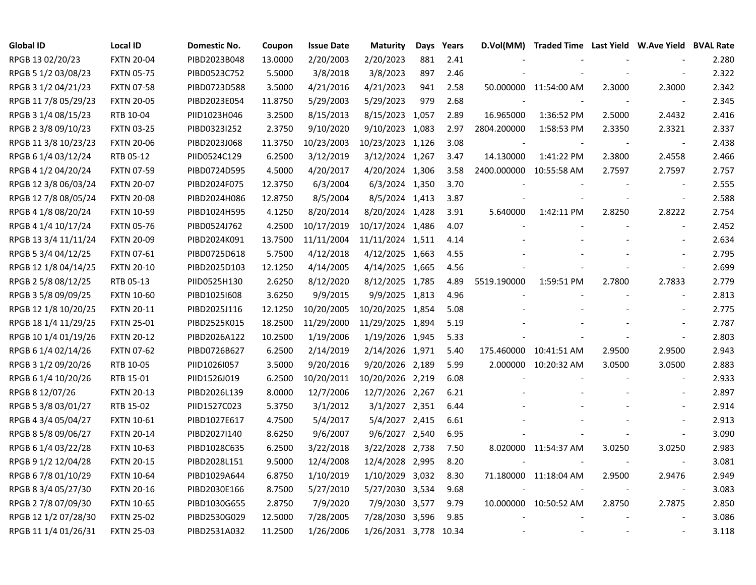| <b>Global ID</b>     | <b>Local ID</b>   | Domestic No. | Coupon  | <b>Issue Date</b> | <b>Maturity</b>       | Days | Years | D.Vol(MM)   | Traded Time Last Yield W.Ave Yield BVAL Rate |                          |                          |       |
|----------------------|-------------------|--------------|---------|-------------------|-----------------------|------|-------|-------------|----------------------------------------------|--------------------------|--------------------------|-------|
| RPGB 13 02/20/23     | <b>FXTN 20-04</b> | PIBD2023B048 | 13.0000 | 2/20/2003         | 2/20/2023             | 881  | 2.41  |             |                                              |                          |                          | 2.280 |
| RPGB 5 1/2 03/08/23  | <b>FXTN 05-75</b> | PIBD0523C752 | 5.5000  | 3/8/2018          | 3/8/2023              | 897  | 2.46  |             |                                              |                          |                          | 2.322 |
| RPGB 3 1/2 04/21/23  | <b>FXTN 07-58</b> | PIBD0723D588 | 3.5000  | 4/21/2016         | 4/21/2023             | 941  | 2.58  |             | 50.000000 11:54:00 AM                        | 2.3000                   | 2.3000                   | 2.342 |
| RPGB 11 7/8 05/29/23 | <b>FXTN 20-05</b> | PIBD2023E054 | 11.8750 | 5/29/2003         | 5/29/2023             | 979  | 2.68  |             |                                              |                          | $\overline{\phantom{a}}$ | 2.345 |
| RPGB 3 1/4 08/15/23  | RTB 10-04         | PIID1023H046 | 3.2500  | 8/15/2013         | 8/15/2023 1,057       |      | 2.89  | 16.965000   | 1:36:52 PM                                   | 2.5000                   | 2.4432                   | 2.416 |
| RPGB 2 3/8 09/10/23  | <b>FXTN 03-25</b> | PIBD0323I252 | 2.3750  | 9/10/2020         | 9/10/2023 1,083       |      | 2.97  | 2804.200000 | 1:58:53 PM                                   | 2.3350                   | 2.3321                   | 2.337 |
| RPGB 11 3/8 10/23/23 | <b>FXTN 20-06</b> | PIBD2023J068 | 11.3750 | 10/23/2003        | 10/23/2023 1,126      |      | 3.08  |             |                                              |                          | $\overline{\phantom{a}}$ | 2.438 |
| RPGB 6 1/4 03/12/24  | RTB 05-12         | PIID0524C129 | 6.2500  | 3/12/2019         | 3/12/2024 1,267       |      | 3.47  | 14.130000   | 1:41:22 PM                                   | 2.3800                   | 2.4558                   | 2.466 |
| RPGB 4 1/2 04/20/24  | <b>FXTN 07-59</b> | PIBD0724D595 | 4.5000  | 4/20/2017         | 4/20/2024 1,306       |      | 3.58  | 2400.000000 | 10:55:58 AM                                  | 2.7597                   | 2.7597                   | 2.757 |
| RPGB 12 3/8 06/03/24 | <b>FXTN 20-07</b> | PIBD2024F075 | 12.3750 | 6/3/2004          | 6/3/2024 1,350        |      | 3.70  |             |                                              |                          | $\overline{\phantom{a}}$ | 2.555 |
| RPGB 12 7/8 08/05/24 | <b>FXTN 20-08</b> | PIBD2024H086 | 12.8750 | 8/5/2004          | 8/5/2024 1,413        |      | 3.87  |             |                                              |                          | $\overline{\phantom{a}}$ | 2.588 |
| RPGB 4 1/8 08/20/24  | <b>FXTN 10-59</b> | PIBD1024H595 | 4.1250  | 8/20/2014         | 8/20/2024 1,428       |      | 3.91  | 5.640000    | 1:42:11 PM                                   | 2.8250                   | 2.8222                   | 2.754 |
| RPGB 4 1/4 10/17/24  | <b>FXTN 05-76</b> | PIBD0524J762 | 4.2500  | 10/17/2019        | 10/17/2024 1,486      |      | 4.07  |             |                                              |                          | $\overline{a}$           | 2.452 |
| RPGB 13 3/4 11/11/24 | <b>FXTN 20-09</b> | PIBD2024K091 | 13.7500 | 11/11/2004        | 11/11/2024 1,511      |      | 4.14  |             |                                              |                          | $\sim$                   | 2.634 |
| RPGB 5 3/4 04/12/25  | <b>FXTN 07-61</b> | PIBD0725D618 | 5.7500  | 4/12/2018         | 4/12/2025 1,663       |      | 4.55  |             |                                              |                          |                          | 2.795 |
| RPGB 12 1/8 04/14/25 | <b>FXTN 20-10</b> | PIBD2025D103 | 12.1250 | 4/14/2005         | 4/14/2025 1,665       |      | 4.56  |             |                                              |                          | $\blacksquare$           | 2.699 |
| RPGB 2 5/8 08/12/25  | RTB 05-13         | PIID0525H130 | 2.6250  | 8/12/2020         | 8/12/2025 1,785       |      | 4.89  | 5519.190000 | 1:59:51 PM                                   | 2.7800                   | 2.7833                   | 2.779 |
| RPGB 3 5/8 09/09/25  | <b>FXTN 10-60</b> | PIBD1025I608 | 3.6250  | 9/9/2015          | 9/9/2025 1,813        |      | 4.96  |             |                                              | $\overline{\phantom{a}}$ | $\blacksquare$           | 2.813 |
| RPGB 12 1/8 10/20/25 | <b>FXTN 20-11</b> | PIBD2025J116 | 12.1250 | 10/20/2005        | 10/20/2025 1,854      |      | 5.08  |             |                                              |                          | $\overline{\phantom{a}}$ | 2.775 |
| RPGB 18 1/4 11/29/25 | <b>FXTN 25-01</b> | PIBD2525K015 | 18.2500 | 11/29/2000        | 11/29/2025 1,894      |      | 5.19  |             |                                              |                          | $\overline{\phantom{a}}$ | 2.787 |
| RPGB 10 1/4 01/19/26 | <b>FXTN 20-12</b> | PIBD2026A122 | 10.2500 | 1/19/2006         | 1/19/2026 1,945       |      | 5.33  |             |                                              |                          | $\overline{a}$           | 2.803 |
| RPGB 6 1/4 02/14/26  | <b>FXTN 07-62</b> | PIBD0726B627 | 6.2500  | 2/14/2019         | 2/14/2026 1,971       |      | 5.40  | 175.460000  | 10:41:51 AM                                  | 2.9500                   | 2.9500                   | 2.943 |
| RPGB 3 1/2 09/20/26  | RTB 10-05         | PIID1026I057 | 3.5000  | 9/20/2016         | 9/20/2026 2,189       |      | 5.99  | 2.000000    | 10:20:32 AM                                  | 3.0500                   | 3.0500                   | 2.883 |
| RPGB 6 1/4 10/20/26  | RTB 15-01         | PIID1526J019 | 6.2500  | 10/20/2011        | 10/20/2026 2,219      |      | 6.08  |             |                                              |                          | $\overline{\phantom{a}}$ | 2.933 |
| RPGB 8 12/07/26      | <b>FXTN 20-13</b> | PIBD2026L139 | 8.0000  | 12/7/2006         | 12/7/2026 2,267       |      | 6.21  |             |                                              |                          | $\overline{a}$           | 2.897 |
| RPGB 5 3/8 03/01/27  | RTB 15-02         | PIID1527C023 | 5.3750  | 3/1/2012          | 3/1/2027 2,351        |      | 6.44  |             |                                              |                          | $\sim$                   | 2.914 |
| RPGB 4 3/4 05/04/27  | <b>FXTN 10-61</b> | PIBD1027E617 | 4.7500  | 5/4/2017          | 5/4/2027 2,415        |      | 6.61  |             |                                              |                          | $\sim$                   | 2.913 |
| RPGB 8 5/8 09/06/27  | <b>FXTN 20-14</b> | PIBD2027I140 | 8.6250  | 9/6/2007          | 9/6/2027 2,540        |      | 6.95  |             |                                              |                          | $\blacksquare$           | 3.090 |
| RPGB 6 1/4 03/22/28  | <b>FXTN 10-63</b> | PIBD1028C635 | 6.2500  | 3/22/2018         | 3/22/2028 2,738       |      | 7.50  |             | 8.020000 11:54:37 AM                         | 3.0250                   | 3.0250                   | 2.983 |
| RPGB 9 1/2 12/04/28  | <b>FXTN 20-15</b> | PIBD2028L151 | 9.5000  | 12/4/2008         | 12/4/2028 2,995       |      | 8.20  |             |                                              |                          | $\overline{\phantom{a}}$ | 3.081 |
| RPGB 6 7/8 01/10/29  | <b>FXTN 10-64</b> | PIBD1029A644 | 6.8750  | 1/10/2019         | 1/10/2029 3,032       |      | 8.30  |             | 71.180000 11:18:04 AM                        | 2.9500                   | 2.9476                   | 2.949 |
| RPGB 8 3/4 05/27/30  | <b>FXTN 20-16</b> | PIBD2030E166 | 8.7500  | 5/27/2010         | 5/27/2030 3,534       |      | 9.68  |             |                                              | $\blacksquare$           | $\blacksquare$           | 3.083 |
| RPGB 2 7/8 07/09/30  | <b>FXTN 10-65</b> | PIBD1030G655 | 2.8750  | 7/9/2020          | 7/9/2030 3,577        |      | 9.79  |             | 10.000000 10:50:52 AM                        | 2.8750                   | 2.7875                   | 2.850 |
| RPGB 12 1/2 07/28/30 | <b>FXTN 25-02</b> | PIBD2530G029 | 12.5000 | 7/28/2005         | 7/28/2030 3,596       |      | 9.85  |             |                                              |                          |                          | 3.086 |
| RPGB 11 1/4 01/26/31 | <b>FXTN 25-03</b> | PIBD2531A032 | 11.2500 | 1/26/2006         | 1/26/2031 3,778 10.34 |      |       |             |                                              |                          | $\sim$                   | 3.118 |